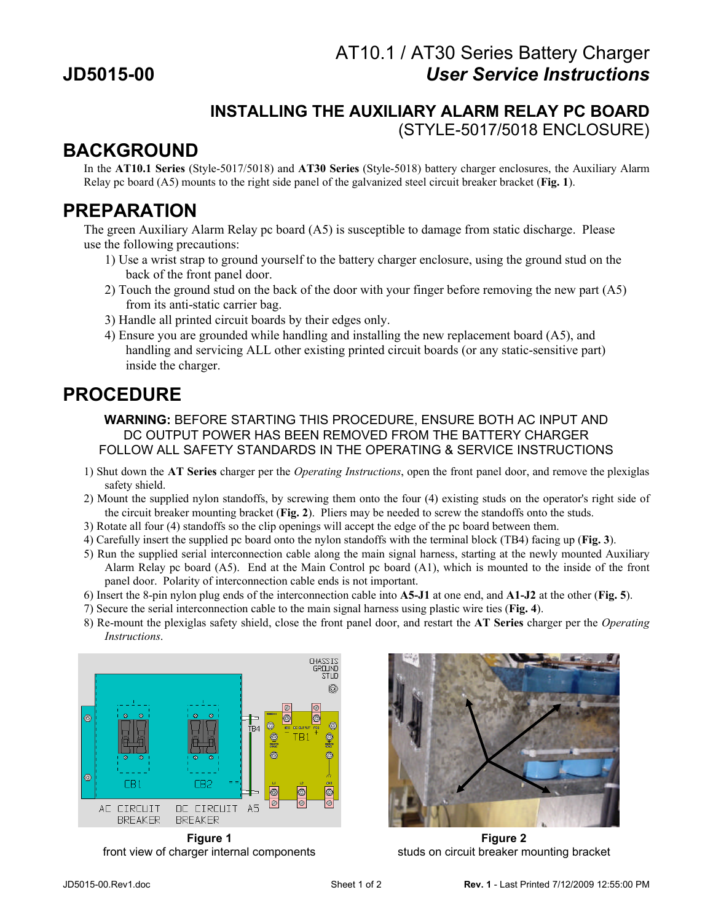# AT10.1 / AT30 Series Battery Charger **JD5015-00** *User Service Instructions*

#### **INSTALLING THE AUXILIARY ALARM RELAY PC BOARD** (STYLE-5017/5018 ENCLOSURE)

### **BACKGROUND**

In the **AT10.1 Series** (Style-5017/5018) and **AT30 Series** (Style-5018) battery charger enclosures, the Auxiliary Alarm Relay pc board (A5) mounts to the right side panel of the galvanized steel circuit breaker bracket (**Fig. 1**).

### **PREPARATION**

The green Auxiliary Alarm Relay pc board (A5) is susceptible to damage from static discharge. Please use the following precautions:

- 1) Use a wrist strap to ground yourself to the battery charger enclosure, using the ground stud on the back of the front panel door.
- 2) Touch the ground stud on the back of the door with your finger before removing the new part (A5) from its anti-static carrier bag.
- 3) Handle all printed circuit boards by their edges only.
- 4) Ensure you are grounded while handling and installing the new replacement board (A5), and handling and servicing ALL other existing printed circuit boards (or any static-sensitive part) inside the charger.

## **PROCEDURE**

**WARNING:** BEFORE STARTING THIS PROCEDURE, ENSURE BOTH AC INPUT AND DC OUTPUT POWER HAS BEEN REMOVED FROM THE BATTERY CHARGER FOLLOW ALL SAFETY STANDARDS IN THE OPERATING & SERVICE INSTRUCTIONS

- 1) Shut down the **AT Series** charger per the *Operating Instructions*, open the front panel door, and remove the plexiglas safety shield.
- 2) Mount the supplied nylon standoffs, by screwing them onto the four (4) existing studs on the operator's right side of the circuit breaker mounting bracket (**Fig. 2**). Pliers may be needed to screw the standoffs onto the studs.
- 3) Rotate all four (4) standoffs so the clip openings will accept the edge of the pc board between them.
- 4) Carefully insert the supplied pc board onto the nylon standoffs with the terminal block (TB4) facing up (**Fig. 3**).
- 5) Run the supplied serial interconnection cable along the main signal harness, starting at the newly mounted Auxiliary Alarm Relay pc board (A5). End at the Main Control pc board (A1), which is mounted to the inside of the front panel door. Polarity of interconnection cable ends is not important.
- 6) Insert the 8-pin nylon plug ends of the interconnection cable into **A5-J1** at one end, and **A1-J2** at the other (**Fig. 5**).
- 7) Secure the serial interconnection cable to the main signal harness using plastic wire ties (**Fig. 4**).
- 8) Re-mount the plexiglas safety shield, close the front panel door, and restart the **AT Series** charger per the *Operating Instructions*.



front view of charger internal components



**Figure 2** studs on circuit breaker mounting bracket